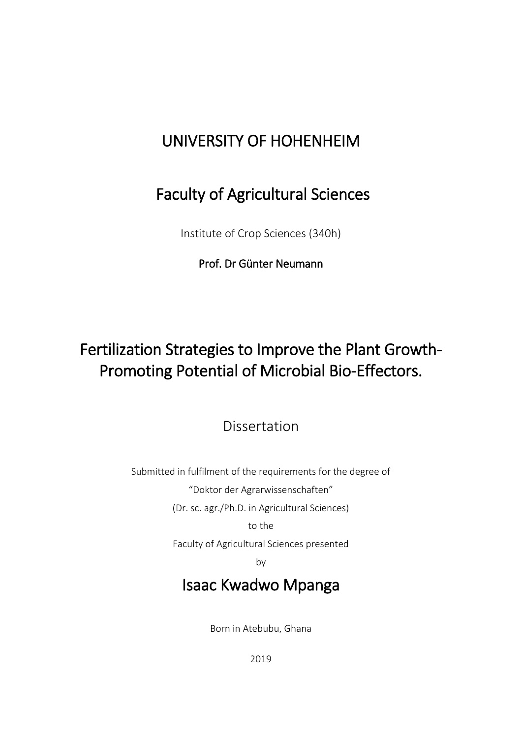## UNIVERSITY OF HOHENHEIM

## Faculty of Agricultural Sciences

Institute of Crop Sciences (340h)

### Prof. Dr Günter Neumann

# Fertilization Strategies to Improve the Plant Growth-Promoting Potential of Microbial Bio-Effectors.

Dissertation

Submitted in fulfilment of the requirements for the degree of "Doktor der Agrarwissenschaften" (Dr. sc. agr./Ph.D. in Agricultural Sciences) to the

Faculty of Agricultural Sciences presented

by

### Isaac Kwadwo Mpanga

Born in Atebubu, Ghana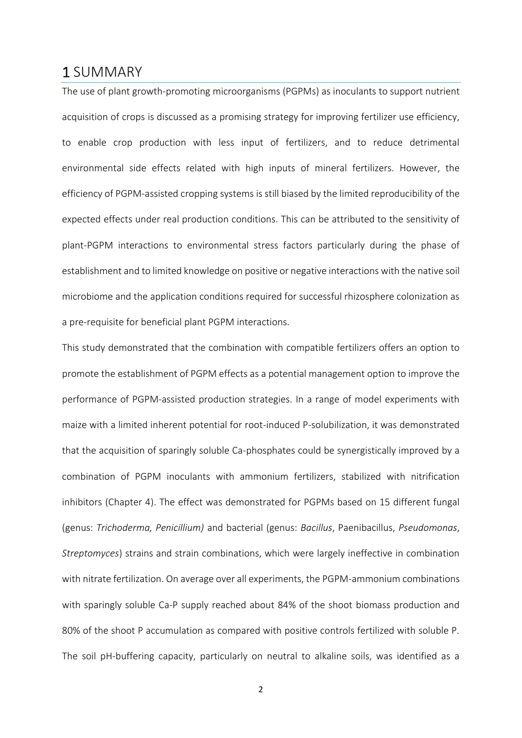### 1 SUMMARY

The use of plant growth-promoting microorganisms (PGPMs) as inoculants to support nutrient acquisition of crops is discussed as a promising strategy for improving fertilizer use efficiency, to enable crop production with less input of fertilizers, and to reduce detrimental environmental side effects related with high inputs of mineral fertilizers. However, the efficiency of PGPM-assisted cropping systems is still biased by the limited reproducibility of the expected effects under real production conditions. This can be attributed to the sensitivity of plant-PGPM interactions to environmental stress factors particularly during the phase of establishment and to limited knowledge on positive or negative interactions with the native soil microbiome and the application conditions required for successful rhizosphere colonization as a pre-requisite for beneficial plant PGPM interactions.

This study demonstrated that the combination with compatible fertilizers offers an option to promote the establishment of PGPM effects as a potential management option to improve the performance of PGPM-assisted production strategies. In a range of model experiments with maize with a limited inherent potential for root-induced P-solubilization, it was demonstrated that the acquisition of sparingly soluble Ca-phosphates could be synergistically improved by a combination of PGPM inoculants with ammonium fertilizers, stabilized with nitrification inhibitors (Chapter 4). The effect was demonstrated for PGPMs based on 15 different fungal (genus: *Trichoderma, Penicillium)* and bacterial (genus: *Bacillus*, Paenibacillus, *Pseudomonas*, *Streptomyces*) strains and strain combinations, which were largely ineffective in combination with nitrate fertilization. On average over all experiments, the PGPM-ammonium combinations with sparingly soluble Ca-P supply reached about 84% of the shoot biomass production and 80% of the shoot P accumulation as compared with positive controls fertilized with soluble P. The soil pH-buffering capacity, particularly on neutral to alkaline soils, was identified as a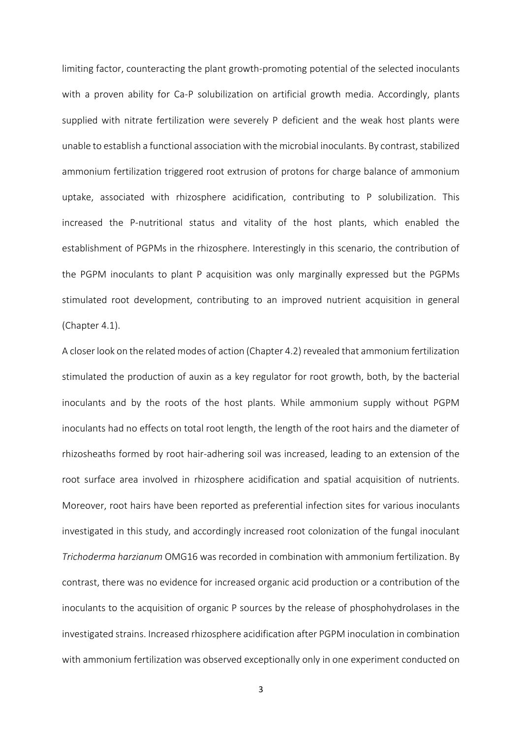limiting factor, counteracting the plant growth-promoting potential of the selected inoculants with a proven ability for Ca-P solubilization on artificial growth media. Accordingly, plants supplied with nitrate fertilization were severely P deficient and the weak host plants were unable to establish a functional association with the microbial inoculants. By contrast, stabilized ammonium fertilization triggered root extrusion of protons for charge balance of ammonium uptake, associated with rhizosphere acidification, contributing to P solubilization. This increased the P-nutritional status and vitality of the host plants, which enabled the establishment of PGPMs in the rhizosphere. Interestingly in this scenario, the contribution of the PGPM inoculants to plant P acquisition was only marginally expressed but the PGPMs stimulated root development, contributing to an improved nutrient acquisition in general (Chapter 4.1).

A closer look on the related modes of action (Chapter 4.2) revealed that ammonium fertilization stimulated the production of auxin as a key regulator for root growth, both, by the bacterial inoculants and by the roots of the host plants. While ammonium supply without PGPM inoculants had no effects on total root length, the length of the root hairs and the diameter of rhizosheaths formed by root hair-adhering soil was increased, leading to an extension of the root surface area involved in rhizosphere acidification and spatial acquisition of nutrients. Moreover, root hairs have been reported as preferential infection sites for various inoculants investigated in this study, and accordingly increased root colonization of the fungal inoculant *Trichoderma harzianum* OMG16 was recorded in combination with ammonium fertilization. By contrast, there was no evidence for increased organic acid production or a contribution of the inoculants to the acquisition of organic P sources by the release of phosphohydrolases in the investigated strains. Increased rhizosphere acidification after PGPM inoculation in combination with ammonium fertilization was observed exceptionally only in one experiment conducted on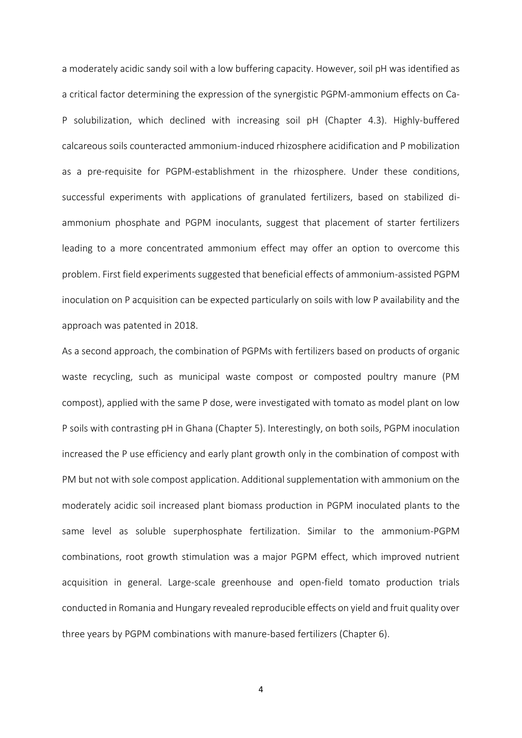a moderately acidic sandy soil with a low buffering capacity. However, soil pH was identified as a critical factor determining the expression of the synergistic PGPM-ammonium effects on Ca-P solubilization, which declined with increasing soil pH (Chapter 4.3). Highly-buffered calcareous soils counteracted ammonium-induced rhizosphere acidification and P mobilization as a pre-requisite for PGPM-establishment in the rhizosphere. Under these conditions, successful experiments with applications of granulated fertilizers, based on stabilized diammonium phosphate and PGPM inoculants, suggest that placement of starter fertilizers leading to a more concentrated ammonium effect may offer an option to overcome this problem. First field experiments suggested that beneficial effects of ammonium-assisted PGPM inoculation on P acquisition can be expected particularly on soils with low P availability and the approach was patented in 2018.

As a second approach, the combination of PGPMs with fertilizers based on products of organic waste recycling, such as municipal waste compost or composted poultry manure (PM compost), applied with the same P dose, were investigated with tomato as model plant on low P soils with contrasting pH in Ghana (Chapter 5). Interestingly, on both soils, PGPM inoculation increased the P use efficiency and early plant growth only in the combination of compost with PM but not with sole compost application. Additional supplementation with ammonium on the moderately acidic soil increased plant biomass production in PGPM inoculated plants to the same level as soluble superphosphate fertilization. Similar to the ammonium-PGPM combinations, root growth stimulation was a major PGPM effect, which improved nutrient acquisition in general. Large-scale greenhouse and open-field tomato production trials conducted in Romania and Hungary revealed reproducible effects on yield and fruit quality over three years by PGPM combinations with manure-based fertilizers (Chapter 6).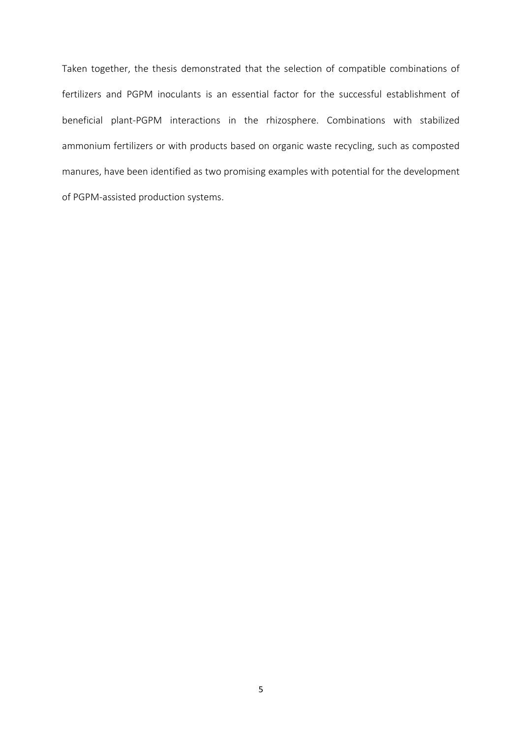Taken together, the thesis demonstrated that the selection of compatible combinations of fertilizers and PGPM inoculants is an essential factor for the successful establishment of beneficial plant-PGPM interactions in the rhizosphere. Combinations with stabilized ammonium fertilizers or with products based on organic waste recycling, such as composted manures, have been identified as two promising examples with potential for the development of PGPM-assisted production systems.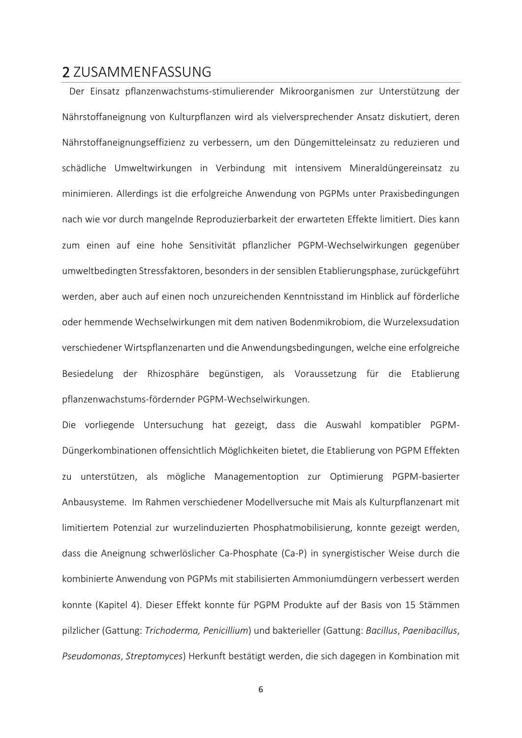#### 2 ZUSAMMENFASSUNG

 Der Einsatz pflanzenwachstums-stimulierender Mikroorganismen zur Unterstützung der Nährstoffaneignung von Kulturpflanzen wird als vielversprechender Ansatz diskutiert, deren Nährstoffaneignungseffizienz zu verbessern, um den Düngemitteleinsatz zu reduzieren und schädliche Umweltwirkungen in Verbindung mit intensivem Mineraldüngereinsatz zu minimieren. Allerdings ist die erfolgreiche Anwendung von PGPMs unter Praxisbedingungen nach wie vor durch mangelnde Reproduzierbarkeit der erwarteten Effekte limitiert. Dies kann zum einen auf eine hohe Sensitivität pflanzlicher PGPM-Wechselwirkungen gegenüber umweltbedingten Stressfaktoren, besonders in der sensiblen Etablierungsphase, zurückgeführt werden, aber auch auf einen noch unzureichenden Kenntnisstand im Hinblick auf förderliche oder hemmende Wechselwirkungen mit dem nativen Bodenmikrobiom, die Wurzelexsudation verschiedener Wirtspflanzenarten und die Anwendungsbedingungen, welche eine erfolgreiche Besiedelung der Rhizosphäre begünstigen, als Voraussetzung für die Etablierung pflanzenwachstums-fördernder PGPM-Wechselwirkungen.

Die vorliegende Untersuchung hat gezeigt, dass die Auswahl kompatibler PGPM-Düngerkombinationen offensichtlich Möglichkeiten bietet, die Etablierung von PGPM Effekten zu unterstützen, als mögliche Managementoption zur Optimierung PGPM-basierter Anbausysteme. Im Rahmen verschiedener Modellversuche mit Mais als Kulturpflanzenart mit limitiertem Potenzial zur wurzelinduzierten Phosphatmobilisierung, konnte gezeigt werden, dass die Aneignung schwerlöslicher Ca-Phosphate (Ca-P) in synergistischer Weise durch die kombinierte Anwendung von PGPMs mit stabilisierten Ammoniumdüngern verbessert werden konnte (Kapitel 4). Dieser Effekt konnte für PGPM Produkte auf der Basis von 15 Stämmen pilzlicher (Gattung: *Trichoderma, Penicillium*) und bakterieller (Gattung: *Bacillus*, *Paenibacillus*, *Pseudomonas*, *Streptomyces*) Herkunft bestätigt werden, die sich dagegen in Kombination mit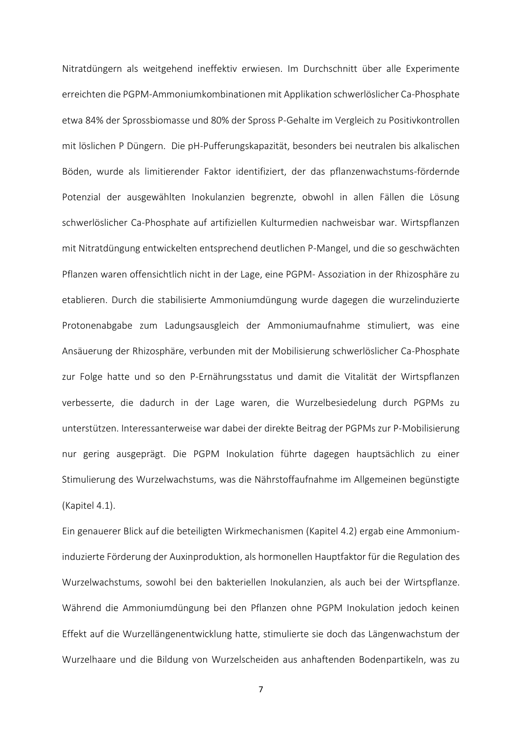Nitratdüngern als weitgehend ineffektiv erwiesen. Im Durchschnitt über alle Experimente erreichten die PGPM-Ammoniumkombinationen mit Applikation schwerlöslicher Ca-Phosphate etwa 84% der Sprossbiomasse und 80% der Spross P-Gehalte im Vergleich zu Positivkontrollen mit löslichen P Düngern. Die pH-Pufferungskapazität, besonders bei neutralen bis alkalischen Böden, wurde als limitierender Faktor identifiziert, der das pflanzenwachstums-fördernde Potenzial der ausgewählten Inokulanzien begrenzte, obwohl in allen Fällen die Lösung schwerlöslicher Ca-Phosphate auf artifiziellen Kulturmedien nachweisbar war. Wirtspflanzen mit Nitratdüngung entwickelten entsprechend deutlichen P-Mangel, und die so geschwächten Pflanzen waren offensichtlich nicht in der Lage, eine PGPM- Assoziation in der Rhizosphäre zu etablieren. Durch die stabilisierte Ammoniumdüngung wurde dagegen die wurzelinduzierte Protonenabgabe zum Ladungsausgleich der Ammoniumaufnahme stimuliert, was eine Ansäuerung der Rhizosphäre, verbunden mit der Mobilisierung schwerlöslicher Ca-Phosphate zur Folge hatte und so den P-Ernährungsstatus und damit die Vitalität der Wirtspflanzen verbesserte, die dadurch in der Lage waren, die Wurzelbesiedelung durch PGPMs zu unterstützen. Interessanterweise war dabei der direkte Beitrag der PGPMs zur P-Mobilisierung nur gering ausgeprägt. Die PGPM Inokulation führte dagegen hauptsächlich zu einer Stimulierung des Wurzelwachstums, was die Nährstoffaufnahme im Allgemeinen begünstigte (Kapitel 4.1).

Ein genauerer Blick auf die beteiligten Wirkmechanismen (Kapitel 4.2) ergab eine Ammoniuminduzierte Förderung der Auxinproduktion, als hormonellen Hauptfaktor für die Regulation des Wurzelwachstums, sowohl bei den bakteriellen Inokulanzien, als auch bei der Wirtspflanze. Während die Ammoniumdüngung bei den Pflanzen ohne PGPM Inokulation jedoch keinen Effekt auf die Wurzellängenentwicklung hatte, stimulierte sie doch das Längenwachstum der Wurzelhaare und die Bildung von Wurzelscheiden aus anhaftenden Bodenpartikeln, was zu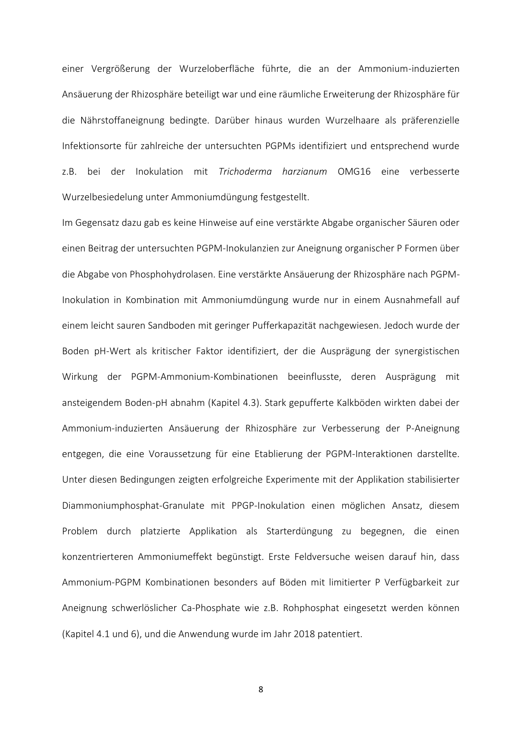einer Vergrößerung der Wurzeloberfläche führte, die an der Ammonium-induzierten Ansäuerung der Rhizosphäre beteiligt war und eine räumliche Erweiterung der Rhizosphäre für die Nährstoffaneignung bedingte. Darüber hinaus wurden Wurzelhaare als präferenzielle Infektionsorte für zahlreiche der untersuchten PGPMs identifiziert und entsprechend wurde z.B. bei der Inokulation mit *Trichoderma harzianum* OMG16 eine verbesserte Wurzelbesiedelung unter Ammoniumdüngung festgestellt.

Im Gegensatz dazu gab es keine Hinweise auf eine verstärkte Abgabe organischer Säuren oder einen Beitrag der untersuchten PGPM-Inokulanzien zur Aneignung organischer P Formen über die Abgabe von Phosphohydrolasen. Eine verstärkte Ansäuerung der Rhizosphäre nach PGPM-Inokulation in Kombination mit Ammoniumdüngung wurde nur in einem Ausnahmefall auf einem leicht sauren Sandboden mit geringer Pufferkapazität nachgewiesen. Jedoch wurde der Boden pH-Wert als kritischer Faktor identifiziert, der die Ausprägung der synergistischen Wirkung der PGPM-Ammonium-Kombinationen beeinflusste, deren Ausprägung mit ansteigendem Boden-pH abnahm (Kapitel 4.3). Stark gepufferte Kalkböden wirkten dabei der Ammonium-induzierten Ansäuerung der Rhizosphäre zur Verbesserung der P-Aneignung entgegen, die eine Voraussetzung für eine Etablierung der PGPM-Interaktionen darstellte. Unter diesen Bedingungen zeigten erfolgreiche Experimente mit der Applikation stabilisierter Diammoniumphosphat-Granulate mit PPGP-Inokulation einen möglichen Ansatz, diesem Problem durch platzierte Applikation als Starterdüngung zu begegnen, die einen konzentrierteren Ammoniumeffekt begünstigt. Erste Feldversuche weisen darauf hin, dass Ammonium-PGPM Kombinationen besonders auf Böden mit limitierter P Verfügbarkeit zur Aneignung schwerlöslicher Ca-Phosphate wie z.B. Rohphosphat eingesetzt werden können (Kapitel 4.1 und 6), und die Anwendung wurde im Jahr 2018 patentiert.